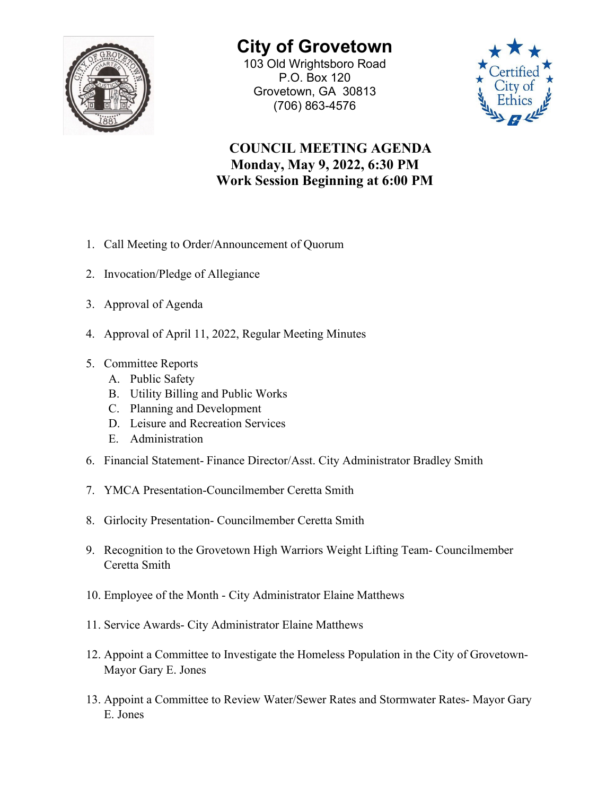

## **City of Grovetown**

103 Old Wrightsboro Road P.O. Box 120 Grovetown, GA 30813 (706) 863-4576



## **COUNCIL MEETING AGENDA Monday, May 9, 2022, 6:30 PM Work Session Beginning at 6:00 PM**

- 1. Call Meeting to Order/Announcement of Quorum
- 2. Invocation/Pledge of Allegiance
- 3. Approval of Agenda
- 4. Approval of April 11, 2022, Regular Meeting Minutes
- 5. Committee Reports
	- A. Public Safety
	- B. Utility Billing and Public Works
	- C. Planning and Development
	- D. Leisure and Recreation Services
	- E. Administration
- 6. Financial Statement- Finance Director/Asst. City Administrator Bradley Smith
- 7. YMCA Presentation-Councilmember Ceretta Smith
- 8. Girlocity Presentation- Councilmember Ceretta Smith
- 9. Recognition to the Grovetown High Warriors Weight Lifting Team- Councilmember Ceretta Smith
- 10. Employee of the Month City Administrator Elaine Matthews
- 11. Service Awards- City Administrator Elaine Matthews
- 12. Appoint a Committee to Investigate the Homeless Population in the City of Grovetown-Mayor Gary E. Jones
- 13. Appoint a Committee to Review Water/Sewer Rates and Stormwater Rates- Mayor Gary E. Jones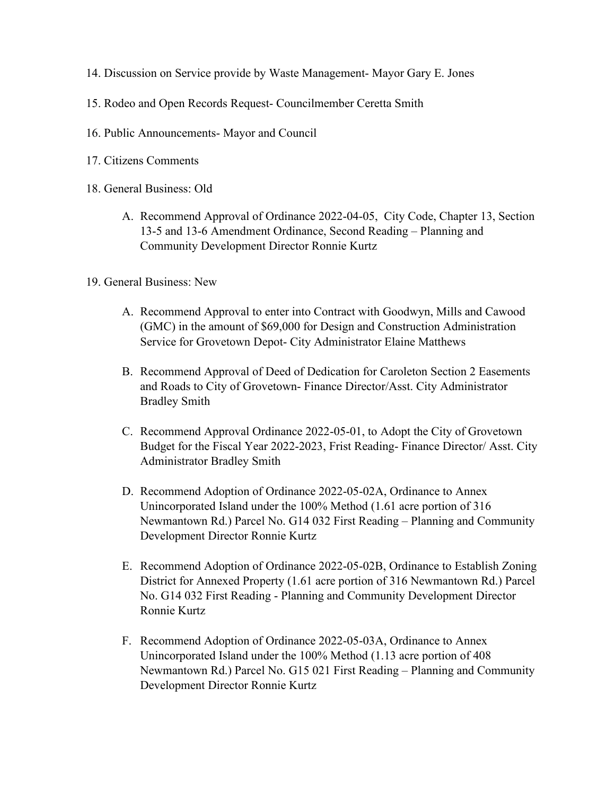- 14. Discussion on Service provide by Waste Management- Mayor Gary E. Jones
- 15. Rodeo and Open Records Request- Councilmember Ceretta Smith
- 16. Public Announcements- Mayor and Council
- 17. Citizens Comments
- 18. General Business: Old
	- A. Recommend Approval of Ordinance 2022-04-05, City Code, Chapter 13, Section 13-5 and 13-6 Amendment Ordinance, Second Reading – Planning and Community Development Director Ronnie Kurtz
- 19. General Business: New
	- A. Recommend Approval to enter into Contract with Goodwyn, Mills and Cawood (GMC) in the amount of \$69,000 for Design and Construction Administration Service for Grovetown Depot- City Administrator Elaine Matthews
	- B. Recommend Approval of Deed of Dedication for Caroleton Section 2 Easements and Roads to City of Grovetown- Finance Director/Asst. City Administrator Bradley Smith
	- C. Recommend Approval Ordinance 2022-05-01, to Adopt the City of Grovetown Budget for the Fiscal Year 2022-2023, Frist Reading- Finance Director/ Asst. City Administrator Bradley Smith
	- D. Recommend Adoption of Ordinance 2022-05-02A, Ordinance to Annex Unincorporated Island under the 100% Method (1.61 acre portion of 316 Newmantown Rd.) Parcel No. G14 032 First Reading – Planning and Community Development Director Ronnie Kurtz
	- E. Recommend Adoption of Ordinance 2022-05-02B, Ordinance to Establish Zoning District for Annexed Property (1.61 acre portion of 316 Newmantown Rd.) Parcel No. G14 032 First Reading - Planning and Community Development Director Ronnie Kurtz
	- F. Recommend Adoption of Ordinance 2022-05-03A, Ordinance to Annex Unincorporated Island under the 100% Method (1.13 acre portion of 408 Newmantown Rd.) Parcel No. G15 021 First Reading – Planning and Community Development Director Ronnie Kurtz